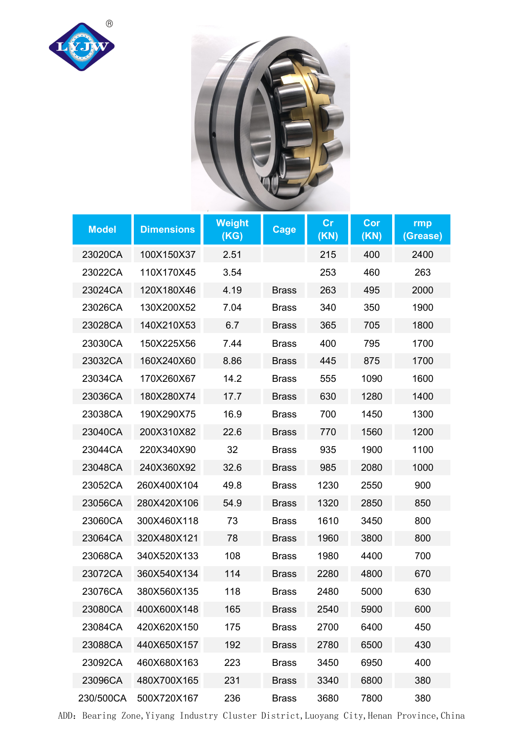



| <b>Model</b> | <b>Dimensions</b>     | <b>Weight</b><br>(KG) | Cage         | cr<br>(KN) | Cor<br>(KN) | rmp<br>(Grease) |
|--------------|-----------------------|-----------------------|--------------|------------|-------------|-----------------|
| 23020CA      | 100X150X37            | 2.51                  |              | 215        | 400         | 2400            |
| 23022CA      | 110X170X45            | 3.54                  |              | 253        | 460         | 263             |
| 23024CA      | 120X180X46            | 4.19                  | <b>Brass</b> | 263        | 495         | 2000            |
| 23026CA      | 130X200X52            | 7.04                  | <b>Brass</b> | 340        | 350         | 1900            |
| 23028CA      | 140X210X53            | 6.7                   | <b>Brass</b> | 365        | 705         | 1800            |
| 23030CA      | 150X225X56            | 7.44                  | <b>Brass</b> | 400        | 795         | 1700            |
| 23032CA      | 160X240X60            | 8.86                  | <b>Brass</b> | 445        | 875         | 1700            |
| 23034CA      | 170X260X67            | 14.2                  | <b>Brass</b> | 555        | 1090        | 1600            |
| 23036CA      | 180X280X74            | 17.7                  | <b>Brass</b> | 630        | 1280        | 1400            |
| 23038CA      | 190X290X75            | 16.9                  | <b>Brass</b> | 700        | 1450        | 1300            |
| 23040CA      | 200X310X82            | 22.6                  | <b>Brass</b> | 770        | 1560        | 1200            |
| 23044CA      | 220X340X90            | 32                    | <b>Brass</b> | 935        | 1900        | 1100            |
| 23048CA      | 240X360X92            | 32.6                  | <b>Brass</b> | 985        | 2080        | 1000            |
| 23052CA      | 260X400X104           | 49.8                  | <b>Brass</b> | 1230       | 2550        | 900             |
| 23056CA      | 280X420X106           | 54.9                  | <b>Brass</b> | 1320       | 2850        | 850             |
| 23060CA      | 300X460X118           | 73                    | <b>Brass</b> | 1610       | 3450        | 800             |
| 23064CA      | 320X480X121           | 78                    | <b>Brass</b> | 1960       | 3800        | 800             |
| 23068CA      | 340X520X133           | 108                   | <b>Brass</b> | 1980       | 4400        | 700             |
| 23072CA      | 360X540X134           | 114                   | <b>Brass</b> | 2280       | 4800        | 670             |
| 23076CA      | 380X560X135           | 118                   | <b>Brass</b> | 2480       | 5000        | 630             |
| 23080CA      | 400X600X148           | 165                   | <b>Brass</b> | 2540       | 5900        | 600             |
| 23084CA      | 420X620X150           | 175                   | <b>Brass</b> | 2700       | 6400        | 450             |
| 23088CA      | 440X650X157           | 192                   | <b>Brass</b> | 2780       | 6500        | 430             |
| 23092CA      | 460X680X163           | 223                   | <b>Brass</b> | 3450       | 6950        | 400             |
| 23096CA      | 480X700X165           | 231                   | <b>Brass</b> | 3340       | 6800        | 380             |
|              | 230/500CA 500X720X167 | 236                   | <b>Brass</b> | 3680       | 7800        | 380             |

ADD: Bearing Zone, Yiyang Industry Cluster District, Luoyang City, Henan Province, China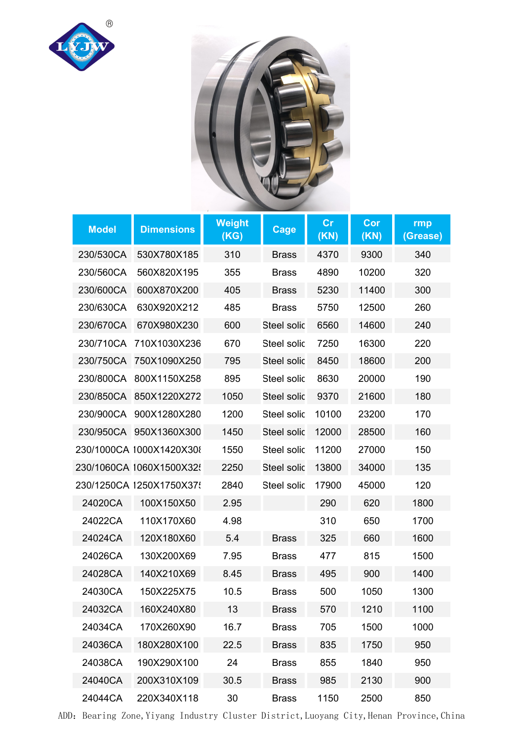



| <b>Model</b> | <b>Dimensions</b>        | <b>Weight</b><br>(KG) | Cage               | cr<br>(KN) | Cor<br>(KN) | rmp<br>(Grease) |
|--------------|--------------------------|-----------------------|--------------------|------------|-------------|-----------------|
| 230/530CA    | 530X780X185              | 310                   | <b>Brass</b>       | 4370       | 9300        | 340             |
| 230/560CA    | 560X820X195              | 355                   | <b>Brass</b>       | 4890       | 10200       | 320             |
| 230/600CA    | 600X870X200              | 405                   | <b>Brass</b>       | 5230       | 11400       | 300             |
| 230/630CA    | 630X920X212              | 485                   | <b>Brass</b>       | 5750       | 12500       | 260             |
| 230/670CA    | 670X980X230              | 600                   | Steel solic        | 6560       | 14600       | 240             |
|              | 230/710CA 710X1030X236   | 670                   | Steel solic        | 7250       | 16300       | 220             |
|              | 230/750CA 750X1090X250   | 795                   | <b>Steel solic</b> | 8450       | 18600       | 200             |
|              | 230/800CA 800X1150X258   | 895                   | Steel solic        | 8630       | 20000       | 190             |
|              | 230/850CA 850X1220X272   | 1050                  | Steel solic        | 9370       | 21600       | 180             |
|              | 230/900CA 900X1280X280   | 1200                  | Steel solic        | 10100      | 23200       | 170             |
|              | 230/950CA 950X1360X300   | 1450                  | <b>Steel solic</b> | 12000      | 28500       | 160             |
|              | 230/1000CA 1000X1420X308 | 1550                  | Steel solic        | 11200      | 27000       | 150             |
|              | 230/1060CA 1060X1500X32  | 2250                  | Steel solic        | 13800      | 34000       | 135             |
|              | 230/1250CA 1250X1750X375 | 2840                  | Steel solic        | 17900      | 45000       | 120             |
| 24020CA      | 100X150X50               | 2.95                  |                    | 290        | 620         | 1800            |
| 24022CA      | 110X170X60               | 4.98                  |                    | 310        | 650         | 1700            |
| 24024CA      | 120X180X60               | 5.4                   | <b>Brass</b>       | 325        | 660         | 1600            |
| 24026CA      | 130X200X69               | 7.95                  | <b>Brass</b>       | 477        | 815         | 1500            |
| 24028CA      | 140X210X69               | 8.45                  | <b>Brass</b>       | 495        | 900         | 1400            |
| 24030CA      | 150X225X75               | 10.5                  | <b>Brass</b>       | 500        | 1050        | 1300            |
| 24032CA      | 160X240X80               | 13                    | <b>Brass</b>       | 570        | 1210        | 1100            |
| 24034CA      | 170X260X90               | 16.7                  | <b>Brass</b>       | 705        | 1500        | 1000            |
| 24036CA      | 180X280X100              | 22.5                  | <b>Brass</b>       | 835        | 1750        | 950             |
| 24038CA      | 190X290X100              | 24                    | <b>Brass</b>       | 855        | 1840        | 950             |
| 24040CA      | 200X310X109              | 30.5                  | <b>Brass</b>       | 985        | 2130        | 900             |
| 24044CA      | 220X340X118              | 30                    | <b>Brass</b>       | 1150       | 2500        | 850             |

ADD: Bearing Zone, Yiyang Industry Cluster District, Luoyang City, Henan Province, China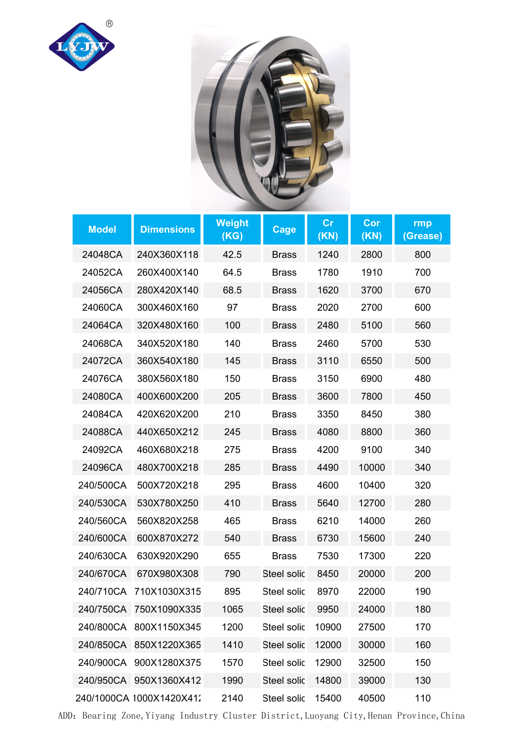



| <b>Model</b> | <b>Dimensions</b>        | <b>Weight</b><br>(KG) | <b>Cage</b>        | cr<br>(KN) | Cor<br>(KN) | rmp<br>(Grease) |
|--------------|--------------------------|-----------------------|--------------------|------------|-------------|-----------------|
| 24048CA      | 240X360X118              | 42.5                  | <b>Brass</b>       | 1240       | 2800        | 800             |
| 24052CA      | 260X400X140              | 64.5                  | <b>Brass</b>       | 1780       | 1910        | 700             |
| 24056CA      | 280X420X140              | 68.5                  | <b>Brass</b>       | 1620       | 3700        | 670             |
| 24060CA      | 300X460X160              | 97                    | <b>Brass</b>       | 2020       | 2700        | 600             |
| 24064CA      | 320X480X160              | 100                   | <b>Brass</b>       | 2480       | 5100        | 560             |
| 24068CA      | 340X520X180              | 140                   | <b>Brass</b>       | 2460       | 5700        | 530             |
| 24072CA      | 360X540X180              | 145                   | <b>Brass</b>       | 3110       | 6550        | 500             |
| 24076CA      | 380X560X180              | 150                   | <b>Brass</b>       | 3150       | 6900        | 480             |
| 24080CA      | 400X600X200              | 205                   | <b>Brass</b>       | 3600       | 7800        | 450             |
| 24084CA      | 420X620X200              | 210                   | <b>Brass</b>       | 3350       | 8450        | 380             |
| 24088CA      | 440X650X212              | 245                   | <b>Brass</b>       | 4080       | 8800        | 360             |
| 24092CA      | 460X680X218              | 275                   | <b>Brass</b>       | 4200       | 9100        | 340             |
| 24096CA      | 480X700X218              | 285                   | <b>Brass</b>       | 4490       | 10000       | 340             |
| 240/500CA    | 500X720X218              | 295                   | <b>Brass</b>       | 4600       | 10400       | 320             |
| 240/530CA    | 530X780X250              | 410                   | <b>Brass</b>       | 5640       | 12700       | 280             |
| 240/560CA    | 560X820X258              | 465                   | <b>Brass</b>       | 6210       | 14000       | 260             |
| 240/600CA    | 600X870X272              | 540                   | <b>Brass</b>       | 6730       | 15600       | 240             |
| 240/630CA    | 630X920X290              | 655                   | <b>Brass</b>       | 7530       | 17300       | 220             |
| 240/670CA    | 670X980X308              | 790                   | Steel solic        | 8450       | 20000       | 200             |
|              | 240/710CA 710X1030X315   | 895                   | Steel solic        | 8970       | 22000       | 190             |
|              | 240/750CA 750X1090X335   | 1065                  | Steel solic        | 9950       | 24000       | 180             |
|              | 240/800CA 800X1150X345   | 1200                  | Steel solic        | 10900      | 27500       | 170             |
|              | 240/850CA 850X1220X365   | 1410                  | <b>Steel solic</b> | 12000      | 30000       | 160             |
|              | 240/900CA 900X1280X375   | 1570                  | Steel solic        | 12900      | 32500       | 150             |
|              | 240/950CA 950X1360X412   | 1990                  | <b>Steel solic</b> | 14800      | 39000       | 130             |
|              | 240/1000CA 1000X1420X412 | 2140                  | Steel solic        | 15400      | 40500       | 110             |

ADD: Bearing Zone, Yiyang Industry Cluster District, Luoyang City, Henan Province, China